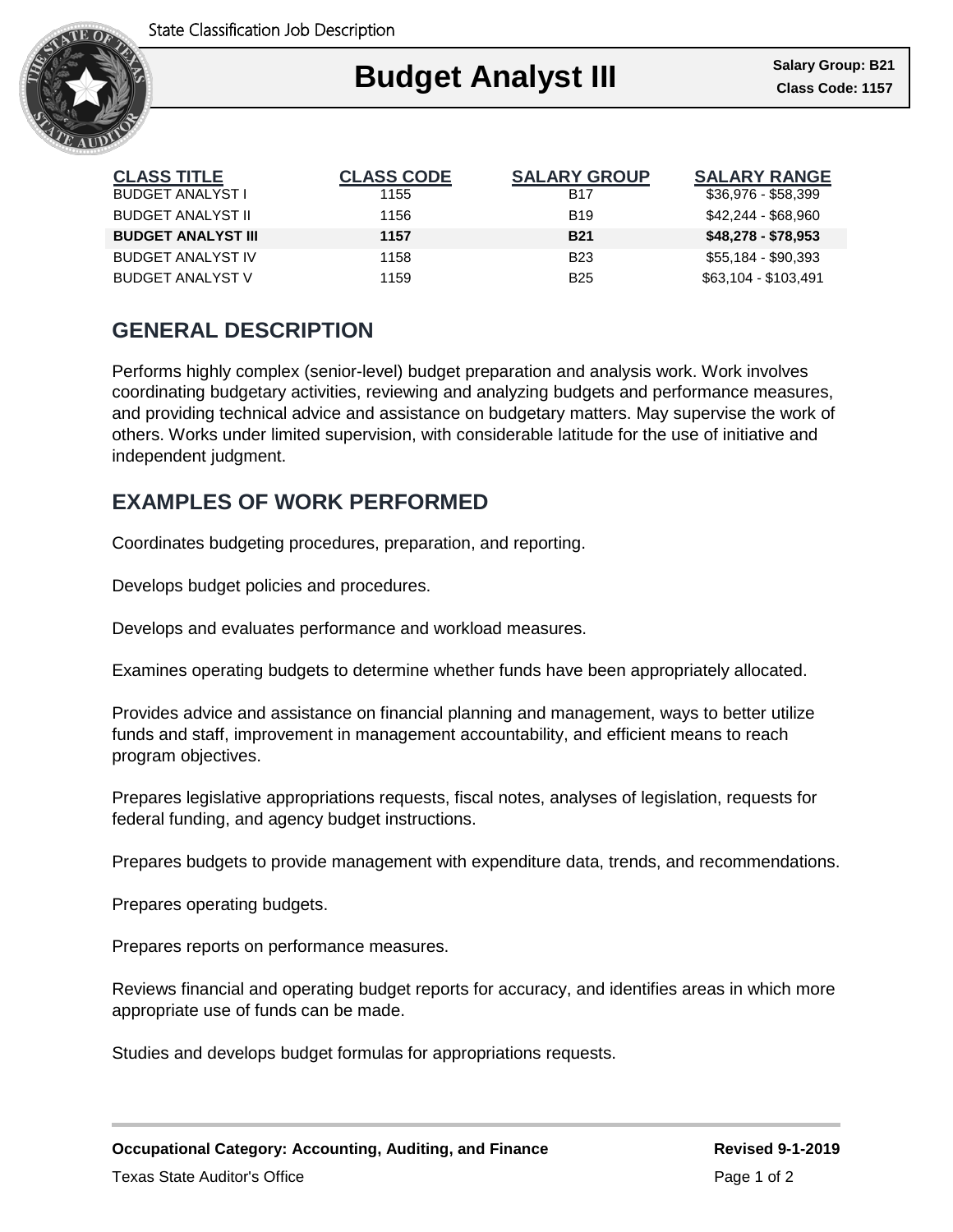

| <b>CLASS TITLE</b>        | <b>CLASS CODE</b> | <b>SALARY GROUP</b> | <b>SALARY RANGE</b>  |
|---------------------------|-------------------|---------------------|----------------------|
| <b>BUDGET ANALYST I</b>   | 1155              | <b>B17</b>          | \$36,976 - \$58,399  |
| <b>BUDGET ANALYST II</b>  | 1156              | <b>B</b> 19         | \$42.244 - \$68.960  |
| <b>BUDGET ANALYST III</b> | 1157              | <b>B21</b>          | $$48,278 - $78,953$  |
| <b>BUDGET ANALYST IV</b>  | 1158              | <b>B23</b>          | \$55,184 - \$90,393  |
| <b>BUDGET ANALYST V</b>   | 1159              | <b>B25</b>          | \$63,104 - \$103,491 |

## **GENERAL DESCRIPTION**

Performs highly complex (senior-level) budget preparation and analysis work. Work involves coordinating budgetary activities, reviewing and analyzing budgets and performance measures, and providing technical advice and assistance on budgetary matters. May supervise the work of others. Works under limited supervision, with considerable latitude for the use of initiative and independent judgment.

## **EXAMPLES OF WORK PERFORMED**

Coordinates budgeting procedures, preparation, and reporting.

Develops budget policies and procedures.

Develops and evaluates performance and workload measures.

Examines operating budgets to determine whether funds have been appropriately allocated.

Provides advice and assistance on financial planning and management, ways to better utilize funds and staff, improvement in management accountability, and efficient means to reach program objectives.

Prepares legislative appropriations requests, fiscal notes, analyses of legislation, requests for federal funding, and agency budget instructions.

Prepares budgets to provide management with expenditure data, trends, and recommendations.

Prepares operating budgets.

Prepares reports on performance measures.

Reviews financial and operating budget reports for accuracy, and identifies areas in which more appropriate use of funds can be made.

Studies and develops budget formulas for appropriations requests.